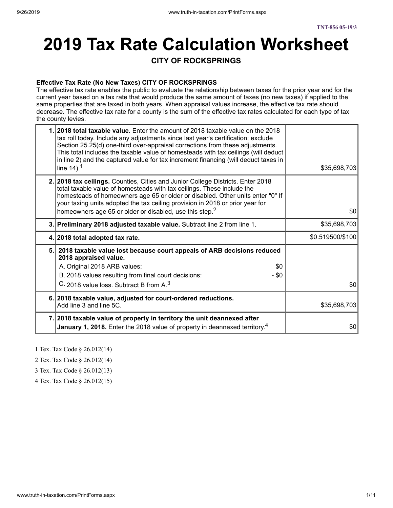# **2019 Tax Rate Calculation Worksheet**

### **CITY OF ROCKSPRINGS**

#### **Effective Tax Rate (No New Taxes) CITY OF ROCKSPRINGS**

The effective tax rate enables the public to evaluate the relationship between taxes for the prior year and for the current year based on a tax rate that would produce the same amount of taxes (no new taxes) if applied to the same properties that are taxed in both years. When appraisal values increase, the effective tax rate should decrease. The effective tax rate for a county is the sum of the effective tax rates calculated for each type of tax the county levies.

| 1. 2018 total taxable value. Enter the amount of 2018 taxable value on the 2018<br>tax roll today. Include any adjustments since last year's certification; exclude<br>Section 25.25(d) one-third over-appraisal corrections from these adjustments.<br>This total includes the taxable value of homesteads with tax ceilings (will deduct<br>in line 2) and the captured value for tax increment financing (will deduct taxes in<br>line $14$ ). <sup>1</sup> | \$35,698,703     |
|----------------------------------------------------------------------------------------------------------------------------------------------------------------------------------------------------------------------------------------------------------------------------------------------------------------------------------------------------------------------------------------------------------------------------------------------------------------|------------------|
| 2. 2018 tax ceilings. Counties, Cities and Junior College Districts. Enter 2018<br>total taxable value of homesteads with tax ceilings. These include the<br>homesteads of homeowners age 65 or older or disabled. Other units enter "0" If<br>your taxing units adopted the tax ceiling provision in 2018 or prior year for<br>homeowners age 65 or older or disabled, use this step. <sup>2</sup>                                                            | \$0              |
| 3. Preliminary 2018 adjusted taxable value. Subtract line 2 from line 1.                                                                                                                                                                                                                                                                                                                                                                                       | \$35,698,703     |
| 4. 2018 total adopted tax rate.                                                                                                                                                                                                                                                                                                                                                                                                                                | \$0.519500/\$100 |
| 5. 2018 taxable value lost because court appeals of ARB decisions reduced<br>2018 appraised value.<br>A. Original 2018 ARB values:<br>\$0<br>B. 2018 values resulting from final court decisions:<br>$-$ \$0                                                                                                                                                                                                                                                   |                  |
| C. 2018 value loss. Subtract B from A. <sup>3</sup>                                                                                                                                                                                                                                                                                                                                                                                                            | \$0              |
| 6. 2018 taxable value, adjusted for court-ordered reductions.<br>Add line 3 and line 5C.                                                                                                                                                                                                                                                                                                                                                                       | \$35,698,703     |
| 7. 2018 taxable value of property in territory the unit deannexed after<br>January 1, 2018. Enter the 2018 value of property in deannexed territory. <sup>4</sup>                                                                                                                                                                                                                                                                                              | \$0              |

- 1 Tex. Tax Code § 26.012(14)
- 2 Tex. Tax Code § 26.012(14)
- 3 Tex. Tax Code § 26.012(13)
- 4 Tex. Tax Code § 26.012(15)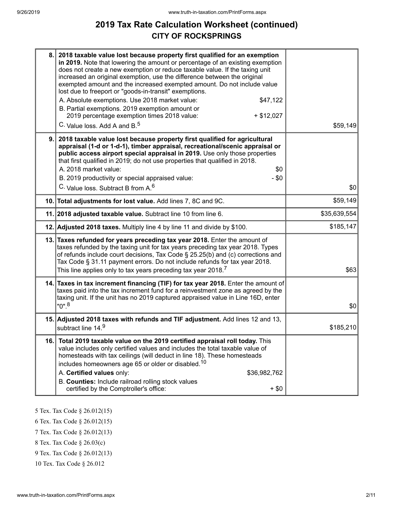# **2019 Tax Rate Calculation Worksheet (continued) CITY OF ROCKSPRINGS**

| 8.  | 2018 taxable value lost because property first qualified for an exemption<br>in 2019. Note that lowering the amount or percentage of an existing exemption<br>does not create a new exemption or reduce taxable value. If the taxing unit<br>increased an original exemption, use the difference between the original<br>exempted amount and the increased exempted amount. Do not include value<br>lost due to freeport or "goods-in-transit" exemptions.<br>A. Absolute exemptions. Use 2018 market value:<br>\$47,122<br>B. Partial exemptions. 2019 exemption amount or<br>2019 percentage exemption times 2018 value:<br>$+ $12,027$<br>C. Value loss. Add A and B. <sup>5</sup> | \$59,149     |
|-----|---------------------------------------------------------------------------------------------------------------------------------------------------------------------------------------------------------------------------------------------------------------------------------------------------------------------------------------------------------------------------------------------------------------------------------------------------------------------------------------------------------------------------------------------------------------------------------------------------------------------------------------------------------------------------------------|--------------|
| 9.  | 2018 taxable value lost because property first qualified for agricultural<br>appraisal (1-d or 1-d-1), timber appraisal, recreational/scenic appraisal or<br>public access airport special appraisal in 2019. Use only those properties<br>that first qualified in 2019; do not use properties that qualified in 2018.<br>A. 2018 market value:<br>\$0<br>B. 2019 productivity or special appraised value:<br>$-$ \$0<br>C. Value loss. Subtract B from A. <sup>6</sup>                                                                                                                                                                                                               | \$0          |
|     | 10. Total adjustments for lost value. Add lines 7, 8C and 9C.                                                                                                                                                                                                                                                                                                                                                                                                                                                                                                                                                                                                                         | \$59,149     |
|     | 11. 2018 adjusted taxable value. Subtract line 10 from line 6.                                                                                                                                                                                                                                                                                                                                                                                                                                                                                                                                                                                                                        | \$35,639,554 |
|     | 12. Adjusted 2018 taxes. Multiply line 4 by line 11 and divide by \$100.                                                                                                                                                                                                                                                                                                                                                                                                                                                                                                                                                                                                              | \$185,147    |
|     | 13. Taxes refunded for years preceding tax year 2018. Enter the amount of<br>taxes refunded by the taxing unit for tax years preceding tax year 2018. Types<br>of refunds include court decisions, Tax Code § 25.25(b) and (c) corrections and<br>Tax Code § 31.11 payment errors. Do not include refunds for tax year 2018.<br>This line applies only to tax years preceding tax year 2018. <sup>7</sup>                                                                                                                                                                                                                                                                             | \$63         |
|     | 14. Taxes in tax increment financing (TIF) for tax year 2018. Enter the amount of<br>taxes paid into the tax increment fund for a reinvestment zone as agreed by the<br>taxing unit. If the unit has no 2019 captured appraised value in Line 16D, enter<br>$"0"$ . <sup>8</sup>                                                                                                                                                                                                                                                                                                                                                                                                      | \$0          |
|     | 15. Adjusted 2018 taxes with refunds and TIF adjustment. Add lines 12 and 13,<br>subtract line 14.9                                                                                                                                                                                                                                                                                                                                                                                                                                                                                                                                                                                   | \$185,210    |
| 16. | Total 2019 taxable value on the 2019 certified appraisal roll today. This<br>value includes only certified values and includes the total taxable value of<br>homesteads with tax ceilings (will deduct in line 18). These homesteads<br>includes homeowners age 65 or older or disabled. <sup>10</sup><br>A. Certified values only:<br>\$36,982,762<br>B. Counties: Include railroad rolling stock values<br>certified by the Comptroller's office:<br>$+$ \$0                                                                                                                                                                                                                        |              |
|     |                                                                                                                                                                                                                                                                                                                                                                                                                                                                                                                                                                                                                                                                                       |              |

5 Tex. Tax Code § 26.012(15)

6 Tex. Tax Code § 26.012(15)

7 Tex. Tax Code § 26.012(13)

8 Tex. Tax Code § 26.03(c)

9 Tex. Tax Code § 26.012(13)

10 Tex. Tax Code § 26.012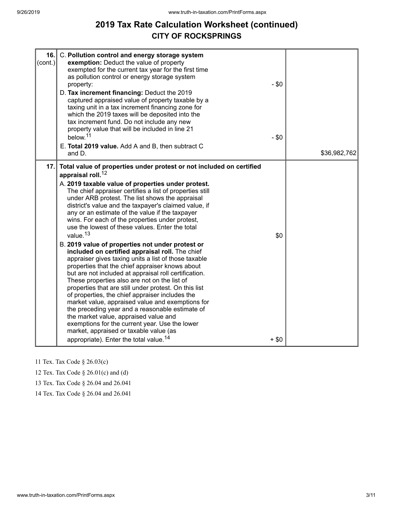# **2019 Tax Rate Calculation Worksheet (continued) CITY OF ROCKSPRINGS**

| 16.<br>$\text{(cont.)}$ | C. Pollution control and energy storage system<br>exemption: Deduct the value of property<br>exempted for the current tax year for the first time<br>as pollution control or energy storage system<br>property:<br>D. Tax increment financing: Deduct the 2019<br>captured appraised value of property taxable by a<br>taxing unit in a tax increment financing zone for<br>which the 2019 taxes will be deposited into the<br>tax increment fund. Do not include any new<br>property value that will be included in line 21<br>below. <sup>11</sup><br>E. Total 2019 value. Add A and B, then subtract C<br>and D.                                                                                                                                                                                                                                                                                                                                                                                                                                                                                                                                                                                                                                           | $-$ \$0<br>$-$ \$0 | \$36,982,762 |
|-------------------------|---------------------------------------------------------------------------------------------------------------------------------------------------------------------------------------------------------------------------------------------------------------------------------------------------------------------------------------------------------------------------------------------------------------------------------------------------------------------------------------------------------------------------------------------------------------------------------------------------------------------------------------------------------------------------------------------------------------------------------------------------------------------------------------------------------------------------------------------------------------------------------------------------------------------------------------------------------------------------------------------------------------------------------------------------------------------------------------------------------------------------------------------------------------------------------------------------------------------------------------------------------------|--------------------|--------------|
| 17.                     | Total value of properties under protest or not included on certified<br>appraisal roll. <sup>12</sup><br>A. 2019 taxable value of properties under protest.<br>The chief appraiser certifies a list of properties still<br>under ARB protest. The list shows the appraisal<br>district's value and the taxpayer's claimed value, if<br>any or an estimate of the value if the taxpayer<br>wins. For each of the properties under protest,<br>use the lowest of these values. Enter the total<br>value. <sup>13</sup><br>B. 2019 value of properties not under protest or<br>included on certified appraisal roll. The chief<br>appraiser gives taxing units a list of those taxable<br>properties that the chief appraiser knows about<br>but are not included at appraisal roll certification.<br>These properties also are not on the list of<br>properties that are still under protest. On this list<br>of properties, the chief appraiser includes the<br>market value, appraised value and exemptions for<br>the preceding year and a reasonable estimate of<br>the market value, appraised value and<br>exemptions for the current year. Use the lower<br>market, appraised or taxable value (as<br>appropriate). Enter the total value. <sup>14</sup> | \$0<br>$+$ \$0     |              |

11 Tex. Tax Code § 26.03(c)

12 Tex. Tax Code § 26.01(c) and (d)

13 Tex. Tax Code § 26.04 and 26.041

14 Tex. Tax Code § 26.04 and 26.041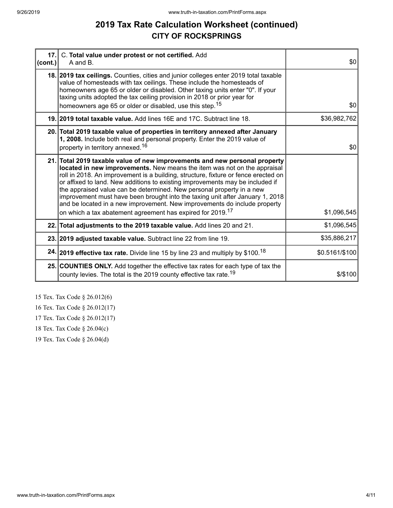# **2019 Tax Rate Calculation Worksheet (continued) CITY OF ROCKSPRINGS**

| $ cont. \rangle$ | 17. C. Total value under protest or not certified. Add<br>A and B.                                                                                                                                                                                                                                                                                                                                                                                                                                                                                                                                                                             | \$0            |
|------------------|------------------------------------------------------------------------------------------------------------------------------------------------------------------------------------------------------------------------------------------------------------------------------------------------------------------------------------------------------------------------------------------------------------------------------------------------------------------------------------------------------------------------------------------------------------------------------------------------------------------------------------------------|----------------|
|                  | 18. 2019 tax ceilings. Counties, cities and junior colleges enter 2019 total taxable<br>value of homesteads with tax ceilings. These include the homesteads of<br>homeowners age 65 or older or disabled. Other taxing units enter "0". If your<br>taxing units adopted the tax ceiling provision in 2018 or prior year for                                                                                                                                                                                                                                                                                                                    |                |
|                  | homeowners age 65 or older or disabled, use this step. <sup>15</sup>                                                                                                                                                                                                                                                                                                                                                                                                                                                                                                                                                                           | \$0            |
|                  | 19. 2019 total taxable value. Add lines 16E and 17C. Subtract line 18.                                                                                                                                                                                                                                                                                                                                                                                                                                                                                                                                                                         | \$36,982,762   |
|                  | 20. Total 2019 taxable value of properties in territory annexed after January<br>1, 2008. Include both real and personal property. Enter the 2019 value of<br>property in territory annexed. <sup>16</sup>                                                                                                                                                                                                                                                                                                                                                                                                                                     | \$0            |
|                  | 21. Total 2019 taxable value of new improvements and new personal property<br>located in new improvements. New means the item was not on the appraisal<br>roll in 2018. An improvement is a building, structure, fixture or fence erected on<br>or affixed to land. New additions to existing improvements may be included if<br>the appraised value can be determined. New personal property in a new<br>improvement must have been brought into the taxing unit after January 1, 2018<br>and be located in a new improvement. New improvements do include property<br>on which a tax abatement agreement has expired for 2019. <sup>17</sup> | \$1,096,545    |
|                  | 22. Total adjustments to the 2019 taxable value. Add lines 20 and 21.                                                                                                                                                                                                                                                                                                                                                                                                                                                                                                                                                                          | \$1,096,545    |
|                  | 23. 2019 adjusted taxable value. Subtract line 22 from line 19.                                                                                                                                                                                                                                                                                                                                                                                                                                                                                                                                                                                | \$35,886,217   |
|                  | 24. 2019 effective tax rate. Divide line 15 by line 23 and multiply by \$100. <sup>18</sup>                                                                                                                                                                                                                                                                                                                                                                                                                                                                                                                                                    | \$0.5161/\$100 |
|                  | 25. COUNTIES ONLY. Add together the effective tax rates for each type of tax the<br>county levies. The total is the 2019 county effective tax rate. <sup>19</sup>                                                                                                                                                                                                                                                                                                                                                                                                                                                                              | \$/\$100       |

15 Tex. Tax Code § 26.012(6)

16 Tex. Tax Code § 26.012(17)

17 Tex. Tax Code § 26.012(17)

18 Tex. Tax Code § 26.04(c)

19 Tex. Tax Code § 26.04(d)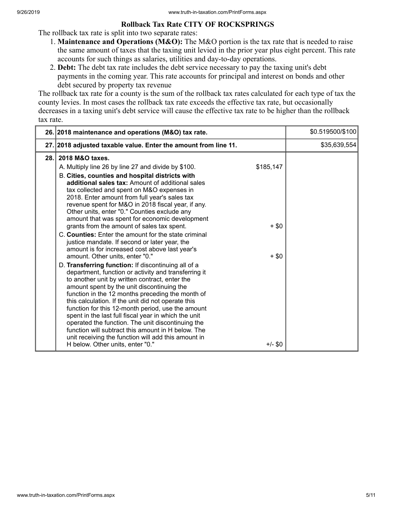#### **Rollback Tax Rate CITY OF ROCKSPRINGS**

The rollback tax rate is split into two separate rates:

- 1. **Maintenance and Operations (M&O):** The M&O portion is the tax rate that is needed to raise the same amount of taxes that the taxing unit levied in the prior year plus eight percent. This rate accounts for such things as salaries, utilities and day-to-day operations.
- 2. **Debt:** The debt tax rate includes the debt service necessary to pay the taxing unit's debt payments in the coming year. This rate accounts for principal and interest on bonds and other debt secured by property tax revenue

The rollback tax rate for a county is the sum of the rollback tax rates calculated for each type of tax the county levies. In most cases the rollback tax rate exceeds the effective tax rate, but occasionally decreases in a taxing unit's debt service will cause the effective tax rate to be higher than the rollback tax rate.

|      | 26. 2018 maintenance and operations (M&O) tax rate.                                                                                                                                                                                                                                                                                                                                                                                                                                                                                                                                                                                                                                                                                                                                                                                                                                                                                                                                                                                                                                                                                                                                                                                                                                                                          |                                              | \$0.519500/\$100 |
|------|------------------------------------------------------------------------------------------------------------------------------------------------------------------------------------------------------------------------------------------------------------------------------------------------------------------------------------------------------------------------------------------------------------------------------------------------------------------------------------------------------------------------------------------------------------------------------------------------------------------------------------------------------------------------------------------------------------------------------------------------------------------------------------------------------------------------------------------------------------------------------------------------------------------------------------------------------------------------------------------------------------------------------------------------------------------------------------------------------------------------------------------------------------------------------------------------------------------------------------------------------------------------------------------------------------------------------|----------------------------------------------|------------------|
|      | 27. 2018 adjusted taxable value. Enter the amount from line 11.                                                                                                                                                                                                                                                                                                                                                                                                                                                                                                                                                                                                                                                                                                                                                                                                                                                                                                                                                                                                                                                                                                                                                                                                                                                              |                                              | \$35,639,554     |
| 28.1 | 2018 M&O taxes.<br>A. Multiply line 26 by line 27 and divide by \$100.<br>B. Cities, counties and hospital districts with<br>additional sales tax: Amount of additional sales<br>tax collected and spent on M&O expenses in<br>2018. Enter amount from full year's sales tax<br>revenue spent for M&O in 2018 fiscal year, if any.<br>Other units, enter "0." Counties exclude any<br>amount that was spent for economic development<br>grants from the amount of sales tax spent.<br>C. Counties: Enter the amount for the state criminal<br>justice mandate. If second or later year, the<br>amount is for increased cost above last year's<br>amount. Other units, enter "0."<br>D. Transferring function: If discontinuing all of a<br>department, function or activity and transferring it<br>to another unit by written contract, enter the<br>amount spent by the unit discontinuing the<br>function in the 12 months preceding the month of<br>this calculation. If the unit did not operate this<br>function for this 12-month period, use the amount<br>spent in the last full fiscal year in which the unit<br>operated the function. The unit discontinuing the<br>function will subtract this amount in H below. The<br>unit receiving the function will add this amount in<br>H below. Other units, enter "0." | \$185,147<br>$+$ \$0<br>$+$ \$0<br>$+/-$ \$0 |                  |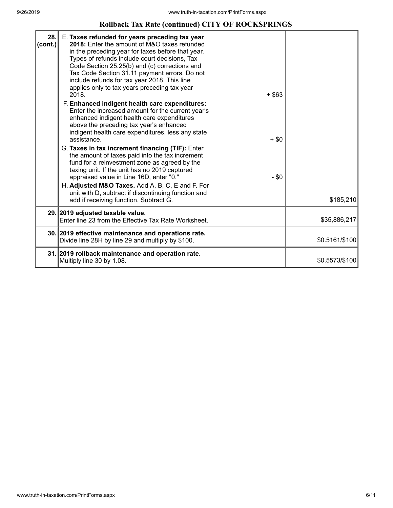## **Rollback Tax Rate (continued) CITY OF ROCKSPRINGS**

| 28.<br>(cont.) | E. Taxes refunded for years preceding tax year<br>2018: Enter the amount of M&O taxes refunded<br>in the preceding year for taxes before that year.<br>Types of refunds include court decisions, Tax<br>Code Section 25.25(b) and (c) corrections and<br>Tax Code Section 31.11 payment errors. Do not<br>include refunds for tax year 2018. This line<br>applies only to tax years preceding tax year<br>2018.<br>$+$ \$63<br>F. Enhanced indigent health care expenditures:<br>Enter the increased amount for the current year's<br>enhanced indigent health care expenditures<br>above the preceding tax year's enhanced<br>indigent health care expenditures, less any state<br>assistance.<br>$+$ \$0<br>G. Taxes in tax increment financing (TIF): Enter<br>the amount of taxes paid into the tax increment<br>fund for a reinvestment zone as agreed by the<br>taxing unit. If the unit has no 2019 captured<br>$-$ \$0<br>appraised value in Line 16D, enter "0."<br>H. Adjusted M&O Taxes. Add A, B, C, E and F. For<br>unit with D, subtract if discontinuing function and<br>add if receiving function. Subtract G. | \$185,210      |
|----------------|--------------------------------------------------------------------------------------------------------------------------------------------------------------------------------------------------------------------------------------------------------------------------------------------------------------------------------------------------------------------------------------------------------------------------------------------------------------------------------------------------------------------------------------------------------------------------------------------------------------------------------------------------------------------------------------------------------------------------------------------------------------------------------------------------------------------------------------------------------------------------------------------------------------------------------------------------------------------------------------------------------------------------------------------------------------------------------------------------------------------------------|----------------|
|                | 29. 2019 adjusted taxable value.                                                                                                                                                                                                                                                                                                                                                                                                                                                                                                                                                                                                                                                                                                                                                                                                                                                                                                                                                                                                                                                                                               |                |
|                | Enter line 23 from the Effective Tax Rate Worksheet.                                                                                                                                                                                                                                                                                                                                                                                                                                                                                                                                                                                                                                                                                                                                                                                                                                                                                                                                                                                                                                                                           | \$35,886,217   |
|                | 30. 2019 effective maintenance and operations rate.<br>Divide line 28H by line 29 and multiply by \$100.                                                                                                                                                                                                                                                                                                                                                                                                                                                                                                                                                                                                                                                                                                                                                                                                                                                                                                                                                                                                                       | \$0.5161/\$100 |
|                | 31. 2019 rollback maintenance and operation rate.<br>Multiply line 30 by 1.08.                                                                                                                                                                                                                                                                                                                                                                                                                                                                                                                                                                                                                                                                                                                                                                                                                                                                                                                                                                                                                                                 | \$0.5573/\$100 |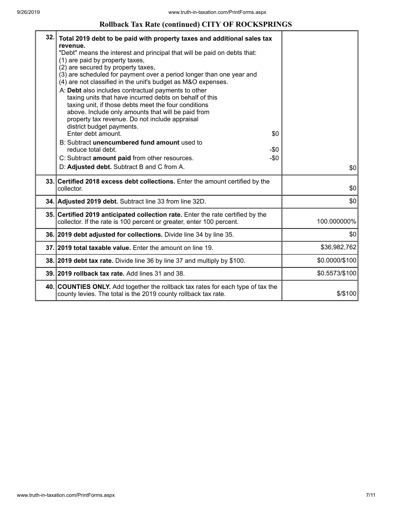#### **Rollback Tax Rate (continued) CITY OF ROCKSPRINGS**

| 32. | Total 2019 debt to be paid with property taxes and additional sales tax<br>revenue.<br>"Debt" means the interest and principal that will be paid on debts that:<br>(1) are paid by property taxes,<br>(2) are secured by property taxes,<br>(3) are scheduled for payment over a period longer than one year and<br>(4) are not classified in the unit's budget as M&O expenses.<br>A: Debt also includes contractual payments to other<br>taxing units that have incurred debts on behalf of this<br>taxing unit, if those debts meet the four conditions<br>above. Include only amounts that will be paid from<br>property tax revenue. Do not include appraisal<br>district budget payments.<br>Enter debt amount. | \$0    |                |
|-----|-----------------------------------------------------------------------------------------------------------------------------------------------------------------------------------------------------------------------------------------------------------------------------------------------------------------------------------------------------------------------------------------------------------------------------------------------------------------------------------------------------------------------------------------------------------------------------------------------------------------------------------------------------------------------------------------------------------------------|--------|----------------|
|     | B: Subtract unencumbered fund amount used to<br>reduce total debt.                                                                                                                                                                                                                                                                                                                                                                                                                                                                                                                                                                                                                                                    | -\$0   |                |
|     | C: Subtract amount paid from other resources.                                                                                                                                                                                                                                                                                                                                                                                                                                                                                                                                                                                                                                                                         | $-\$0$ |                |
|     | D: Adjusted debt. Subtract B and C from A.                                                                                                                                                                                                                                                                                                                                                                                                                                                                                                                                                                                                                                                                            |        | \$0            |
|     | 33. Certified 2018 excess debt collections. Enter the amount certified by the<br>collector.                                                                                                                                                                                                                                                                                                                                                                                                                                                                                                                                                                                                                           |        | \$0            |
|     | 34. Adjusted 2019 debt. Subtract line 33 from line 32D.                                                                                                                                                                                                                                                                                                                                                                                                                                                                                                                                                                                                                                                               |        | \$0            |
|     | 35. Certified 2019 anticipated collection rate. Enter the rate certified by the<br>collector. If the rate is 100 percent or greater, enter 100 percent.                                                                                                                                                                                                                                                                                                                                                                                                                                                                                                                                                               |        | 100.000000%    |
|     | 36. 2019 debt adjusted for collections. Divide line 34 by line 35.                                                                                                                                                                                                                                                                                                                                                                                                                                                                                                                                                                                                                                                    |        | \$0            |
|     | 37. 2019 total taxable value. Enter the amount on line 19.                                                                                                                                                                                                                                                                                                                                                                                                                                                                                                                                                                                                                                                            |        | \$36,982,762   |
|     | 38. 2019 debt tax rate. Divide line 36 by line 37 and multiply by \$100.                                                                                                                                                                                                                                                                                                                                                                                                                                                                                                                                                                                                                                              |        | \$0.0000/\$100 |
|     | 39. 2019 rollback tax rate. Add lines 31 and 38.                                                                                                                                                                                                                                                                                                                                                                                                                                                                                                                                                                                                                                                                      |        | \$0.5573/\$100 |
|     | 40. COUNTIES ONLY. Add together the rollback tax rates for each type of tax the<br>county levies. The total is the 2019 county rollback tax rate.                                                                                                                                                                                                                                                                                                                                                                                                                                                                                                                                                                     |        | $$$ /\$100     |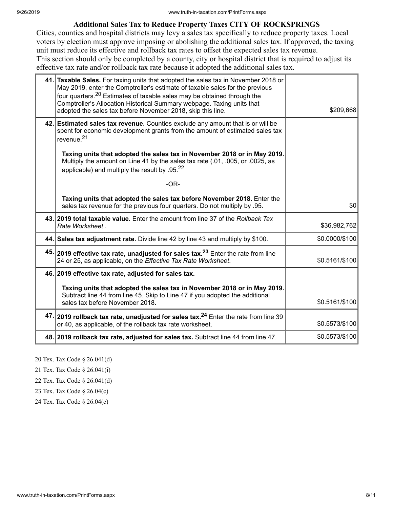#### **Additional Sales Tax to Reduce Property Taxes CITY OF ROCKSPRINGS**

Cities, counties and hospital districts may levy a sales tax specifically to reduce property taxes. Local voters by election must approve imposing or abolishing the additional sales tax. If approved, the taxing unit must reduce its effective and rollback tax rates to offset the expected sales tax revenue. This section should only be completed by a county, city or hospital district that is required to adjust its effective tax rate and/or rollback tax rate because it adopted the additional sales tax.

| 41. Taxable Sales. For taxing units that adopted the sales tax in November 2018 or<br>May 2019, enter the Comptroller's estimate of taxable sales for the previous<br>four quarters. <sup>20</sup> Estimates of taxable sales may be obtained through the<br>Comptroller's Allocation Historical Summary webpage. Taxing units that<br>adopted the sales tax before November 2018, skip this line. | \$209,668      |
|----------------------------------------------------------------------------------------------------------------------------------------------------------------------------------------------------------------------------------------------------------------------------------------------------------------------------------------------------------------------------------------------------|----------------|
| 42. Estimated sales tax revenue. Counties exclude any amount that is or will be<br>spent for economic development grants from the amount of estimated sales tax<br>revenue. <sup>21</sup>                                                                                                                                                                                                          |                |
| Taxing units that adopted the sales tax in November 2018 or in May 2019.<br>Multiply the amount on Line 41 by the sales tax rate (.01, .005, or .0025, as<br>applicable) and multiply the result by .95.22                                                                                                                                                                                         |                |
| $-OR-$                                                                                                                                                                                                                                                                                                                                                                                             |                |
| Taxing units that adopted the sales tax before November 2018. Enter the<br>sales tax revenue for the previous four quarters. Do not multiply by .95.                                                                                                                                                                                                                                               | \$0            |
| 43. 2019 total taxable value. Enter the amount from line 37 of the Rollback Tax<br>Rate Worksheet.                                                                                                                                                                                                                                                                                                 | \$36,982,762   |
| 44. Sales tax adjustment rate. Divide line 42 by line 43 and multiply by \$100.                                                                                                                                                                                                                                                                                                                    | \$0.0000/\$100 |
| 45. 2019 effective tax rate, unadjusted for sales tax. <sup>23</sup> Enter the rate from line<br>24 or 25, as applicable, on the Effective Tax Rate Worksheet.                                                                                                                                                                                                                                     | \$0.5161/\$100 |
| 46. 2019 effective tax rate, adjusted for sales tax.                                                                                                                                                                                                                                                                                                                                               |                |
| Taxing units that adopted the sales tax in November 2018 or in May 2019.<br>Subtract line 44 from line 45. Skip to Line 47 if you adopted the additional<br>sales tax before November 2018.                                                                                                                                                                                                        | \$0.5161/\$100 |
| 47. 2019 rollback tax rate, unadjusted for sales tax. <sup>24</sup> Enter the rate from line 39<br>or 40, as applicable, of the rollback tax rate worksheet.                                                                                                                                                                                                                                       | \$0.5573/\$100 |
| 48. 2019 rollback tax rate, adjusted for sales tax. Subtract line 44 from line 47.                                                                                                                                                                                                                                                                                                                 | \$0.5573/\$100 |

20 Tex. Tax Code § 26.041(d)

21 Tex. Tax Code § 26.041(i)

22 Tex. Tax Code § 26.041(d)

23 Tex. Tax Code § 26.04(c)

24 Tex. Tax Code § 26.04(c)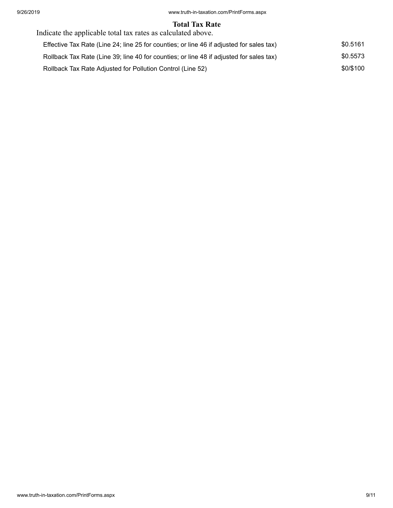#### **Total Tax Rate**

| Indicate the applicable total tax rates as calculated above.                             |           |
|------------------------------------------------------------------------------------------|-----------|
| Effective Tax Rate (Line 24; line 25 for counties; or line 46 if adjusted for sales tax) | \$0.5161  |
| Rollback Tax Rate (Line 39; line 40 for counties; or line 48 if adjusted for sales tax)  | \$0.5573  |
| Rollback Tax Rate Adjusted for Pollution Control (Line 52)                               | \$0/\$100 |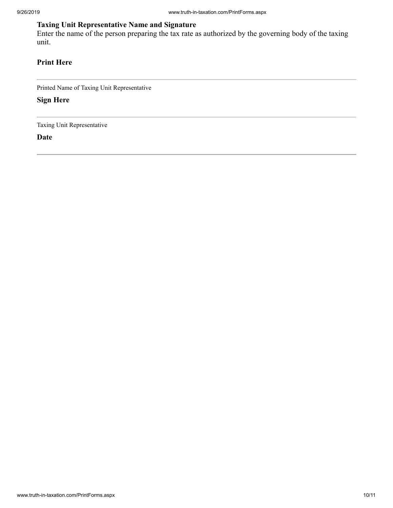## **Taxing Unit Representative Name and Signature**

Enter the name of the person preparing the tax rate as authorized by the governing body of the taxing unit.

## **Print Here**

Printed Name of Taxing Unit Representative

**Sign Here**

Taxing Unit Representative

**Date**